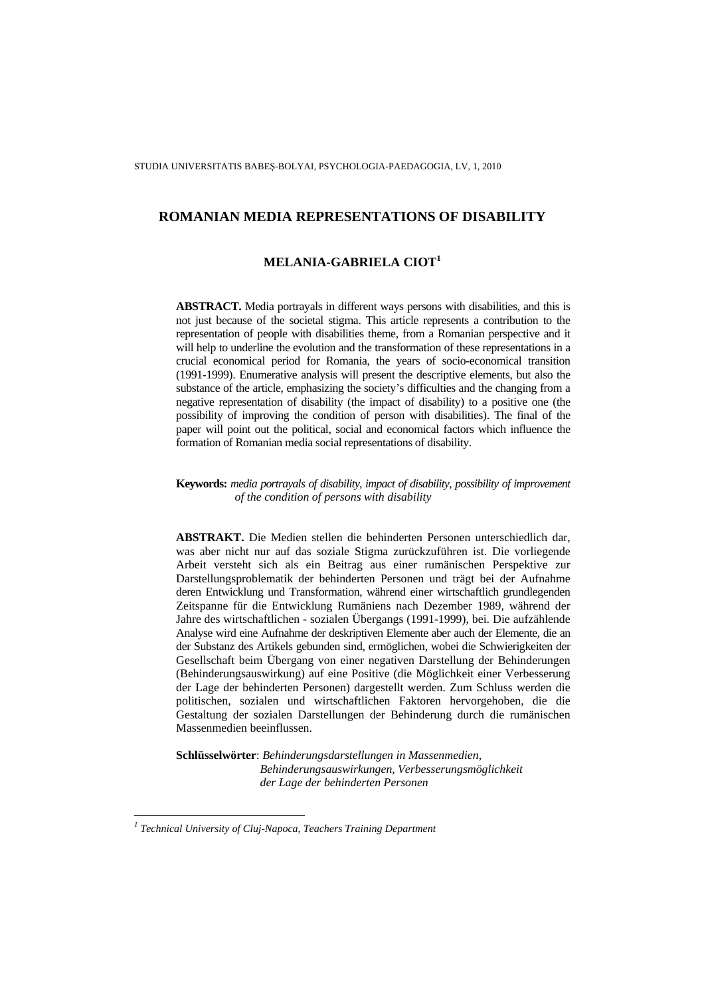# **MELANIA-GABRIELA CIOT<sup>1</sup>**

**ABSTRACT.** Media portrayals in different ways persons with disabilities, and this is not just because of the societal stigma. This article represents a contribution to the representation of people with disabilities theme, from a Romanian perspective and it will help to underline the evolution and the transformation of these representations in a crucial economical period for Romania, the years of socio-economical transition (1991-1999). Enumerative analysis will present the descriptive elements, but also the substance of the article, emphasizing the society's difficulties and the changing from a negative representation of disability (the impact of disability) to a positive one (the possibility of improving the condition of person with disabilities). The final of the paper will point out the political, social and economical factors which influence the formation of Romanian media social representations of disability.

**Keywords:** *media portrayals of disability, impact of disability, possibility of improvement of the condition of persons with disability*

**ABSTRAKT.** Die Medien stellen die behinderten Personen unterschiedlich dar, was aber nicht nur auf das soziale Stigma zurückzuführen ist. Die vorliegende Arbeit versteht sich als ein Beitrag aus einer rumänischen Perspektive zur Darstellungsproblematik der behinderten Personen und trägt bei der Aufnahme deren Entwicklung und Transformation, während einer wirtschaftlich grundlegenden Zeitspanne für die Entwicklung Rumäniens nach Dezember 1989, während der Jahre des wirtschaftlichen - sozialen Übergangs (1991-1999), bei. Die aufzählende Analyse wird eine Aufnahme der deskriptiven Elemente aber auch der Elemente, die an der Substanz des Artikels gebunden sind, ermöglichen, wobei die Schwierigkeiten der Gesellschaft beim Übergang von einer negativen Darstellung der Behinderungen (Behinderungsauswirkung) auf eine Positive (die Möglichkeit einer Verbesserung der Lage der behinderten Personen) dargestellt werden. Zum Schluss werden die politischen, sozialen und wirtschaftlichen Faktoren hervorgehoben, die die Gestaltung der sozialen Darstellungen der Behinderung durch die rumänischen Massenmedien beeinflussen.

**Schlüsselwörter**: *Behinderungsdarstellungen in Massenmedien, Behinderungsauswirkungen, Verbesserungsmöglichkeit der Lage der behinderten Personen* 

 $\overline{a}$ 

<sup>&</sup>lt;sup>1</sup> Technical University of Cluj-Napoca, Teachers Training Department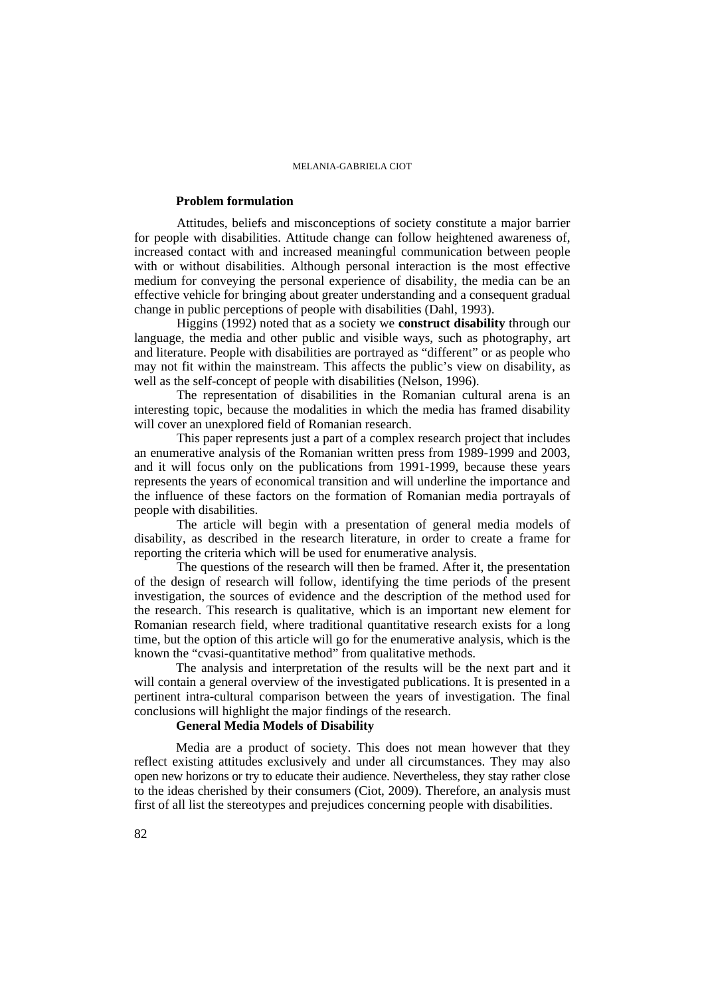# **Problem formulation**

Attitudes, beliefs and misconceptions of society constitute a major barrier for people with disabilities. Attitude change can follow heightened awareness of, increased contact with and increased meaningful communication between people with or without disabilities. Although personal interaction is the most effective medium for conveying the personal experience of disability, the media can be an effective vehicle for bringing about greater understanding and a consequent gradual change in public perceptions of people with disabilities (Dahl, 1993).

Higgins (1992) noted that as a society we **construct disability** through our language, the media and other public and visible ways, such as photography, art and literature. People with disabilities are portrayed as "different" or as people who may not fit within the mainstream. This affects the public's view on disability, as well as the self-concept of people with disabilities (Nelson, 1996).

The representation of disabilities in the Romanian cultural arena is an interesting topic, because the modalities in which the media has framed disability will cover an unexplored field of Romanian research.

This paper represents just a part of a complex research project that includes an enumerative analysis of the Romanian written press from 1989-1999 and 2003, and it will focus only on the publications from 1991-1999, because these years represents the years of economical transition and will underline the importance and the influence of these factors on the formation of Romanian media portrayals of people with disabilities.

The article will begin with a presentation of general media models of disability, as described in the research literature, in order to create a frame for reporting the criteria which will be used for enumerative analysis.

The questions of the research will then be framed. After it, the presentation of the design of research will follow, identifying the time periods of the present investigation, the sources of evidence and the description of the method used for the research. This research is qualitative, which is an important new element for Romanian research field, where traditional quantitative research exists for a long time, but the option of this article will go for the enumerative analysis, which is the known the "cvasi-quantitative method" from qualitative methods.

The analysis and interpretation of the results will be the next part and it will contain a general overview of the investigated publications. It is presented in a pertinent intra-cultural comparison between the years of investigation. The final conclusions will highlight the major findings of the research.

# **General Media Models of Disability**

Media are a product of society. This does not mean however that they reflect existing attitudes exclusively and under all circumstances. They may also open new horizons or try to educate their audience. Nevertheless, they stay rather close to the ideas cherished by their consumers (Ciot, 2009). Therefore, an analysis must first of all list the stereotypes and prejudices concerning people with disabilities.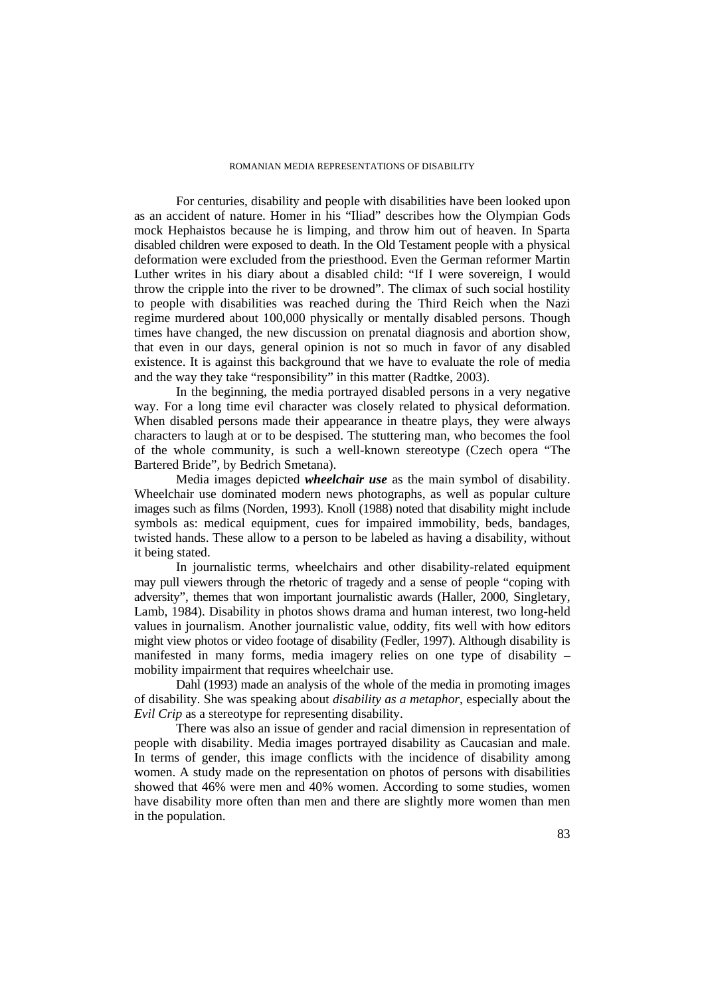For centuries, disability and people with disabilities have been looked upon as an accident of nature. Homer in his "Iliad" describes how the Olympian Gods mock Hephaistos because he is limping, and throw him out of heaven. In Sparta disabled children were exposed to death. In the Old Testament people with a physical deformation were excluded from the priesthood. Even the German reformer Martin Luther writes in his diary about a disabled child: "If I were sovereign, I would throw the cripple into the river to be drowned". The climax of such social hostility to people with disabilities was reached during the Third Reich when the Nazi regime murdered about 100,000 physically or mentally disabled persons. Though times have changed, the new discussion on prenatal diagnosis and abortion show, that even in our days, general opinion is not so much in favor of any disabled existence. It is against this background that we have to evaluate the role of media and the way they take "responsibility" in this matter (Radtke, 2003).

In the beginning, the media portrayed disabled persons in a very negative way. For a long time evil character was closely related to physical deformation. When disabled persons made their appearance in theatre plays, they were always characters to laugh at or to be despised. The stuttering man, who becomes the fool of the whole community, is such a well-known stereotype (Czech opera "The Bartered Bride", by Bedrich Smetana).

Media images depicted *wheelchair use* as the main symbol of disability. Wheelchair use dominated modern news photographs, as well as popular culture images such as films (Norden, 1993). Knoll (1988) noted that disability might include symbols as: medical equipment, cues for impaired immobility, beds, bandages, twisted hands. These allow to a person to be labeled as having a disability, without it being stated.

In journalistic terms, wheelchairs and other disability-related equipment may pull viewers through the rhetoric of tragedy and a sense of people "coping with adversity", themes that won important journalistic awards (Haller, 2000, Singletary, Lamb, 1984). Disability in photos shows drama and human interest, two long-held values in journalism. Another journalistic value, oddity, fits well with how editors might view photos or video footage of disability (Fedler, 1997). Although disability is manifested in many forms, media imagery relies on one type of disability – mobility impairment that requires wheelchair use.

Dahl (1993) made an analysis of the whole of the media in promoting images of disability. She was speaking about *disability as a metaphor*, especially about the *Evil Crip* as a stereotype for representing disability.

There was also an issue of gender and racial dimension in representation of people with disability. Media images portrayed disability as Caucasian and male. In terms of gender, this image conflicts with the incidence of disability among women. A study made on the representation on photos of persons with disabilities showed that 46% were men and 40% women. According to some studies, women have disability more often than men and there are slightly more women than men in the population.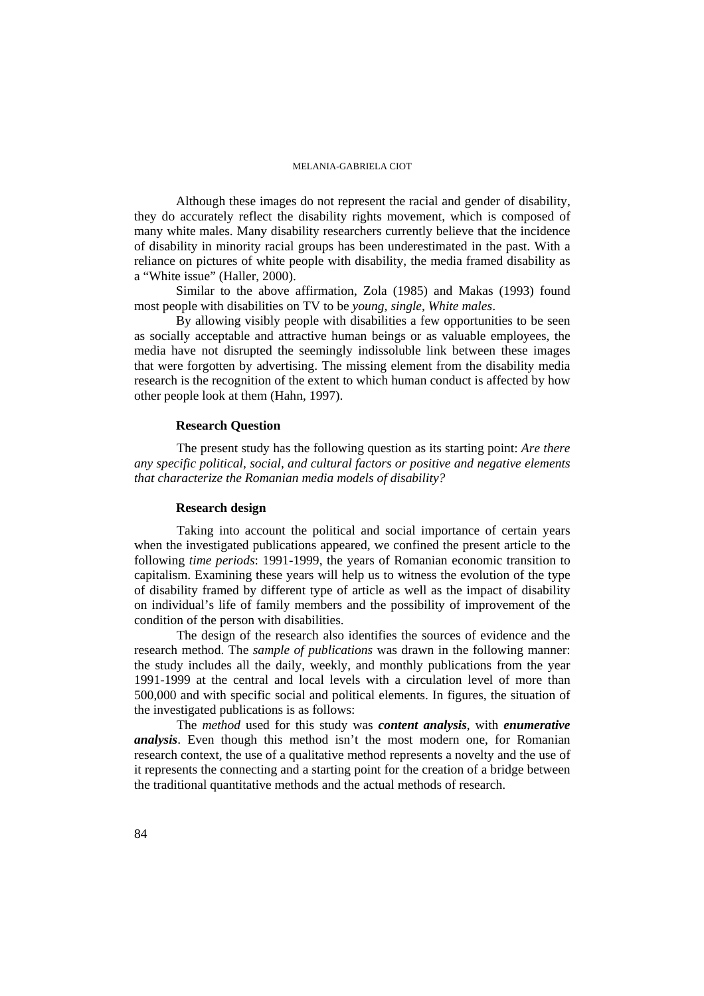Although these images do not represent the racial and gender of disability, they do accurately reflect the disability rights movement, which is composed of many white males. Many disability researchers currently believe that the incidence of disability in minority racial groups has been underestimated in the past. With a reliance on pictures of white people with disability, the media framed disability as a "White issue" (Haller, 2000).

Similar to the above affirmation, Zola (1985) and Makas (1993) found most people with disabilities on TV to be *young, single, White males*.

By allowing visibly people with disabilities a few opportunities to be seen as socially acceptable and attractive human beings or as valuable employees, the media have not disrupted the seemingly indissoluble link between these images that were forgotten by advertising. The missing element from the disability media research is the recognition of the extent to which human conduct is affected by how other people look at them (Hahn, 1997).

# **Research Question**

The present study has the following question as its starting point: *Are there any specific political, social, and cultural factors or positive and negative elements that characterize the Romanian media models of disability?* 

## **Research design**

Taking into account the political and social importance of certain years when the investigated publications appeared, we confined the present article to the following *time periods*: 1991-1999, the years of Romanian economic transition to capitalism. Examining these years will help us to witness the evolution of the type of disability framed by different type of article as well as the impact of disability on individual's life of family members and the possibility of improvement of the condition of the person with disabilities.

The design of the research also identifies the sources of evidence and the research method. The *sample of publications* was drawn in the following manner: the study includes all the daily, weekly, and monthly publications from the year 1991-1999 at the central and local levels with a circulation level of more than 500,000 and with specific social and political elements. In figures, the situation of the investigated publications is as follows:

The *method* used for this study was *content analysis*, with *enumerative analysis*. Even though this method isn't the most modern one, for Romanian research context, the use of a qualitative method represents a novelty and the use of it represents the connecting and a starting point for the creation of a bridge between the traditional quantitative methods and the actual methods of research.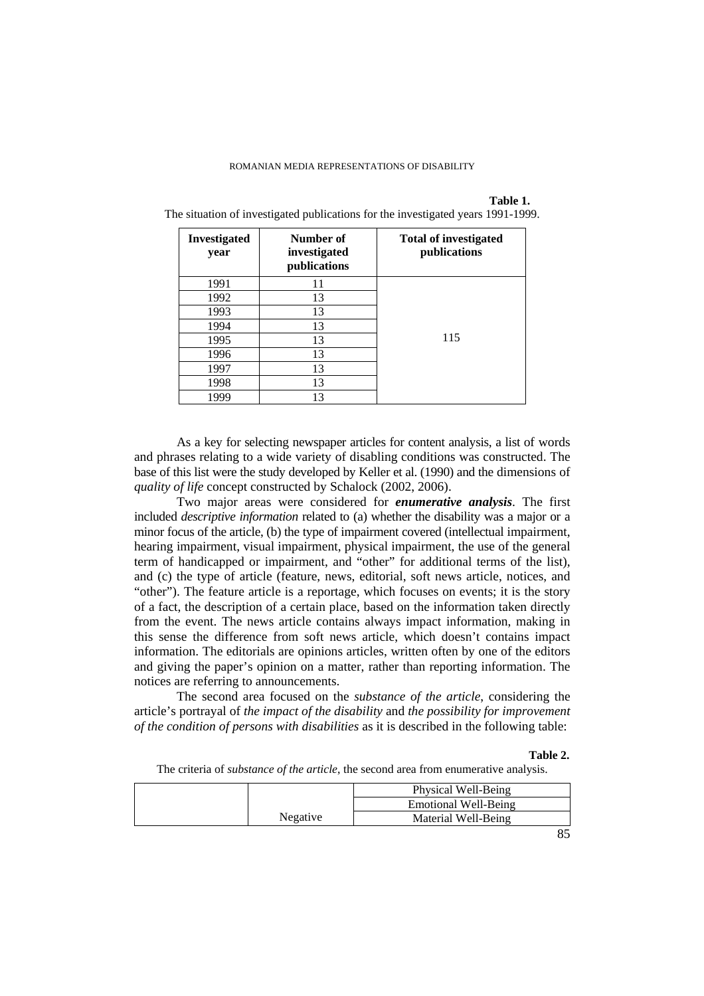## **Table 1.**

The situation of investigated publications for the investigated years 1991-1999.

| <b>Investigated</b><br>year | Number of<br>investigated<br>publications | <b>Total of investigated</b><br>publications |
|-----------------------------|-------------------------------------------|----------------------------------------------|
| 1991                        | 11                                        |                                              |
| 1992                        | 13                                        |                                              |
| 1993                        | 13                                        |                                              |
| 1994                        | 13                                        |                                              |
| 1995                        | 13                                        | 115                                          |
| 1996                        | 13                                        |                                              |
| 1997                        | 13                                        |                                              |
| 1998                        | 13                                        |                                              |
| 1999                        | 13                                        |                                              |

As a key for selecting newspaper articles for content analysis, a list of words and phrases relating to a wide variety of disabling conditions was constructed. The base of this list were the study developed by Keller et al. (1990) and the dimensions of *quality of life* concept constructed by Schalock (2002, 2006).

Two major areas were considered for *enumerative analysis*. The first included *descriptive information* related to (a) whether the disability was a major or a minor focus of the article, (b) the type of impairment covered (intellectual impairment, hearing impairment, visual impairment, physical impairment, the use of the general term of handicapped or impairment, and "other" for additional terms of the list), and (c) the type of article (feature, news, editorial, soft news article, notices, and "other"). The feature article is a reportage, which focuses on events; it is the story of a fact, the description of a certain place, based on the information taken directly from the event. The news article contains always impact information, making in this sense the difference from soft news article, which doesn't contains impact information. The editorials are opinions articles, written often by one of the editors and giving the paper's opinion on a matter, rather than reporting information. The notices are referring to announcements.

The second area focused on the *substance of the article*, considering the article's portrayal of *the impact of the disability* and *the possibility for improvement of the condition of persons with disabilities* as it is described in the following table:

## **Table 2.**

The criteria of *substance of the article*, the second area from enumerative analysis.

|          | Physical Well-Being  |
|----------|----------------------|
|          | Emotional Well-Being |
| Negative | Material Well-Being  |
|          |                      |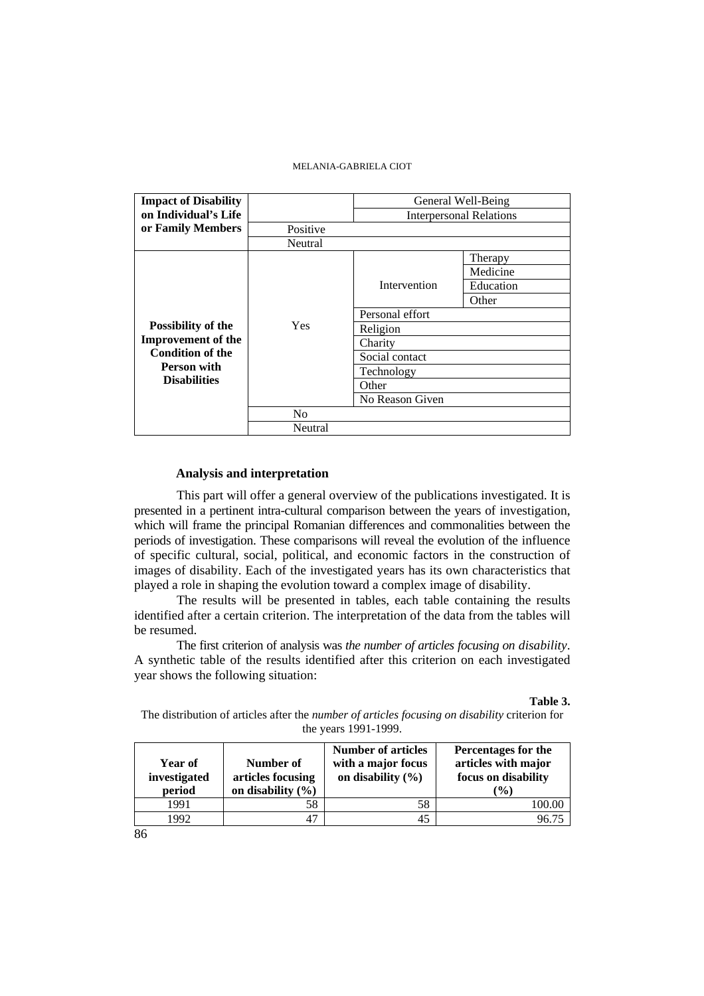| <b>Impact of Disability</b>        |                                |                 | General Well-Being |  |  |  |
|------------------------------------|--------------------------------|-----------------|--------------------|--|--|--|
| on Individual's Life               | <b>Interpersonal Relations</b> |                 |                    |  |  |  |
| or Family Members                  | Positive                       |                 |                    |  |  |  |
|                                    | Neutral                        |                 |                    |  |  |  |
|                                    |                                |                 | Therapy            |  |  |  |
|                                    |                                |                 | Medicine           |  |  |  |
|                                    |                                | Intervention    | Education          |  |  |  |
|                                    |                                |                 | Other              |  |  |  |
|                                    |                                | Personal effort |                    |  |  |  |
| Possibility of the                 | Yes                            | Religion        |                    |  |  |  |
| <b>Improvement of the</b>          |                                | Charity         |                    |  |  |  |
| <b>Condition of the</b>            |                                | Social contact  |                    |  |  |  |
| Person with<br><b>Disabilities</b> |                                | Technology      |                    |  |  |  |
|                                    |                                | Other           |                    |  |  |  |
|                                    |                                | No Reason Given |                    |  |  |  |
|                                    | N <sub>0</sub>                 |                 |                    |  |  |  |
|                                    | Neutral                        |                 |                    |  |  |  |

# **Analysis and interpretation**

This part will offer a general overview of the publications investigated. It is presented in a pertinent intra-cultural comparison between the years of investigation, which will frame the principal Romanian differences and commonalities between the periods of investigation. These comparisons will reveal the evolution of the influence of specific cultural, social, political, and economic factors in the construction of images of disability. Each of the investigated years has its own characteristics that played a role in shaping the evolution toward a complex image of disability.

The results will be presented in tables, each table containing the results identified after a certain criterion. The interpretation of the data from the tables will be resumed.

The first criterion of analysis was *the number of articles focusing on disability*. A synthetic table of the results identified after this criterion on each investigated year shows the following situation:

# **Table 3.**

The distribution of articles after the *number of articles focusing on disability* criterion for the years 1991-1999.

| Year of<br>investigated<br>period | Number of<br>articles focusing<br>on disability $(\% )$ | <b>Number of articles</b><br>with a major focus<br>on disability $(\% )$ | Percentages for the<br>articles with major<br>focus on disability<br>(%) |
|-----------------------------------|---------------------------------------------------------|--------------------------------------------------------------------------|--------------------------------------------------------------------------|
| 1991                              | 58                                                      | 58                                                                       | 100.00                                                                   |
| 1992                              | 47                                                      | 45                                                                       | 96 75                                                                    |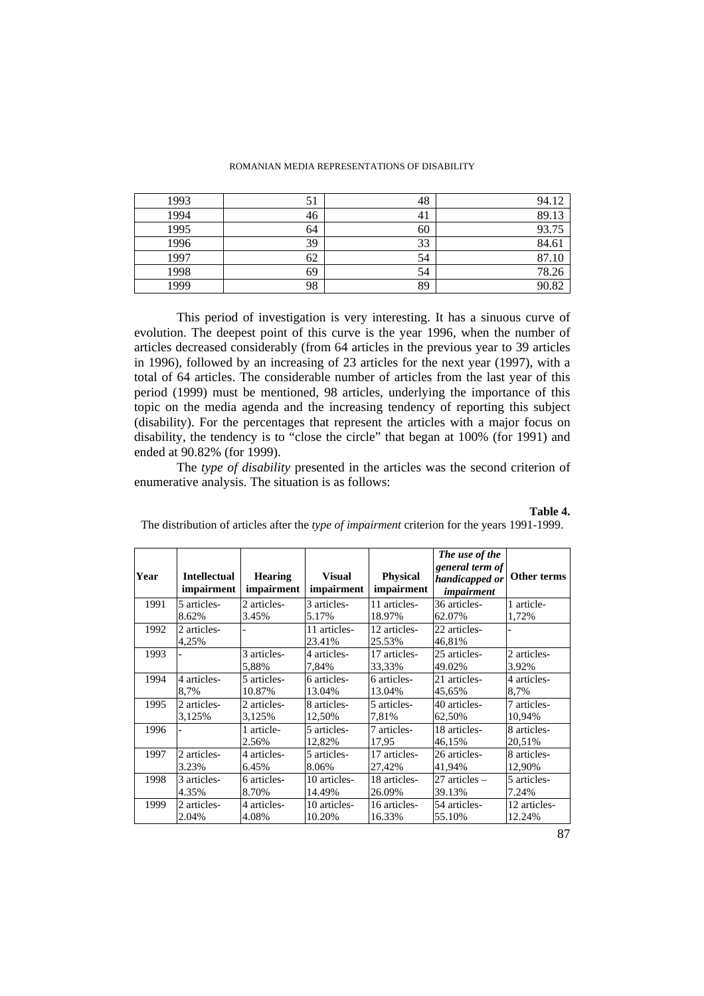| 1993 | 51 | 48 | 94.12 |
|------|----|----|-------|
| 1994 | 46 | 41 | 89.13 |
| 1995 | 64 | 60 | 93.75 |
| 1996 | 39 | 33 | 84.61 |
| 1997 | 62 | 54 | 87.10 |
| 1998 | 69 | 54 | 78.26 |
| 1999 | 98 | 89 | 90.82 |

This period of investigation is very interesting. It has a sinuous curve of evolution. The deepest point of this curve is the year 1996, when the number of articles decreased considerably (from 64 articles in the previous year to 39 articles in 1996), followed by an increasing of 23 articles for the next year (1997), with a total of 64 articles. The considerable number of articles from the last year of this period (1999) must be mentioned, 98 articles, underlying the importance of this topic on the media agenda and the increasing tendency of reporting this subject (disability). For the percentages that represent the articles with a major focus on disability, the tendency is to "close the circle" that began at 100% (for 1991) and ended at 90.82% (for 1999).

The *type of disability* presented in the articles was the second criterion of enumerative analysis. The situation is as follows:

### **Table 4.**

The distribution of articles after the *type of impairment* criterion for the years 1991-1999.

| Year | <b>Intellectual</b><br>impairment | <b>Hearing</b><br>impairment | <b>Visual</b><br>impairment | <b>Physical</b><br>impairment | The use of the<br>general term of<br>handicapped or<br><i>impairment</i> | Other terms           |
|------|-----------------------------------|------------------------------|-----------------------------|-------------------------------|--------------------------------------------------------------------------|-----------------------|
| 1991 | 5 articles-<br>8.62%              | 2 articles-                  | 3 articles-<br>5.17%        | 11 articles-<br>18.97%        | 36 articles-<br>62.07%                                                   | 1 article-            |
| 1992 | 2 articles-<br>4,25%              | 3.45%                        | 11 articles-<br>23.41%      | 12 articles-<br>25.53%        | 22 articles-<br>46,81%                                                   | 1,72%                 |
| 1993 |                                   | 3 articles-<br>5,88%         | 4 articles-<br>7,84%        | 17 articles-<br>33,33%        | 25 articles-<br>49.02%                                                   | 2 articles-<br>3.92%  |
| 1994 | 4 articles-                       | 5 articles-                  | 6 articles-                 | 6 articles-                   | 21 articles-                                                             | 4 articles-           |
|      | 8,7%                              | 10.87%                       | 13.04%                      | 13.04%                        | 45.65%                                                                   | 8,7%                  |
| 1995 | 2 articles-                       | 2 articles-                  | 8 articles-                 | 5 articles-                   | 40 articles-                                                             | 7 articles-           |
|      | 3,125%                            | 3,125%                       | 12,50%                      | 7,81%                         | 62,50%                                                                   | 10,94%                |
| 1996 |                                   | 1 article-<br>2.56%          | 5 articles-<br>12,82%       | 7 articles-<br>17,95          | 18 articles-<br>46,15%                                                   | 8 articles-<br>20,51% |
| 1997 | 2 articles-                       | 4 articles-                  | 5 articles-                 | 17 articles-                  | 26 articles-                                                             | 8 articles-           |
|      | 3.23%                             | 6.45%                        | 8.06%                       | 27,42%                        | 41,94%                                                                   | 12,90%                |
| 1998 | 3 articles-                       | 6 articles-                  | 10 articles-                | 18 articles-                  | $27$ articles $-$                                                        | 5 articles-           |
|      | 4.35%                             | 8.70%                        | 14.49%                      | 26.09%                        | 39.13%                                                                   | 7.24%                 |
| 1999 | 2 articles-                       | 4 articles-                  | 10 articles-                | 16 articles-                  | 54 articles-                                                             | 12 articles-          |
|      | 2.04%                             | 4.08%                        | 10.20%                      | 16.33%                        | 55.10%                                                                   | 12.24%                |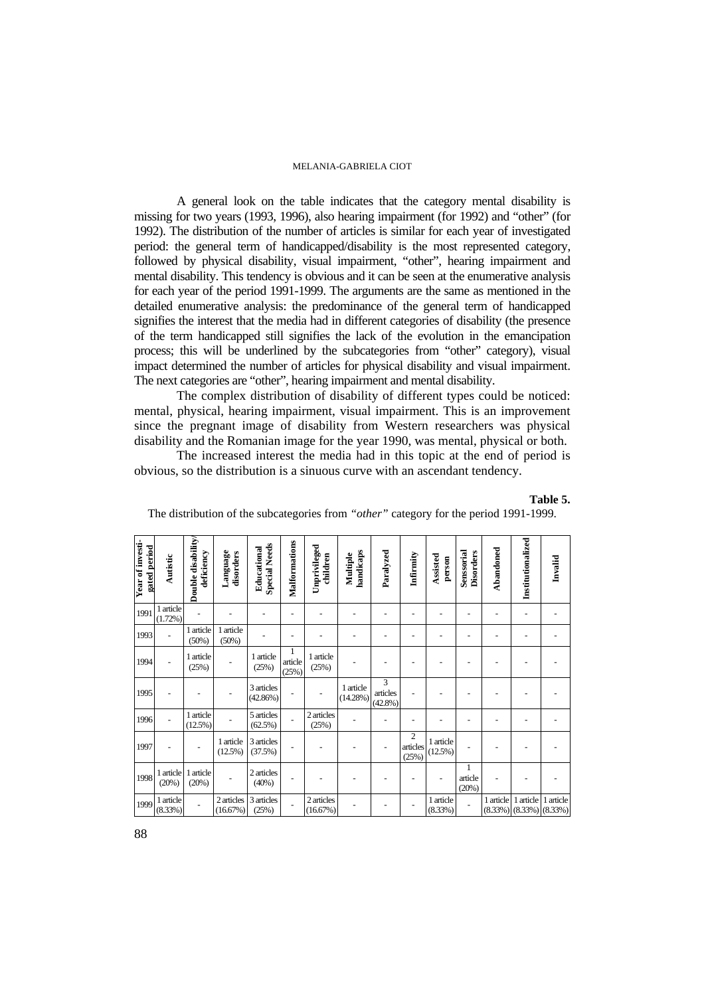A general look on the table indicates that the category mental disability is missing for two years (1993, 1996), also hearing impairment (for 1992) and "other" (for 1992). The distribution of the number of articles is similar for each year of investigated period: the general term of handicapped/disability is the most represented category, followed by physical disability, visual impairment, "other", hearing impairment and mental disability. This tendency is obvious and it can be seen at the enumerative analysis for each year of the period 1991-1999. The arguments are the same as mentioned in the detailed enumerative analysis: the predominance of the general term of handicapped signifies the interest that the media had in different categories of disability (the presence of the term handicapped still signifies the lack of the evolution in the emancipation process; this will be underlined by the subcategories from "other" category), visual impact determined the number of articles for physical disability and visual impairment. The next categories are "other", hearing impairment and mental disability.

The complex distribution of disability of different types could be noticed: mental, physical, hearing impairment, visual impairment. This is an improvement since the pregnant image of disability from Western researchers was physical disability and the Romanian image for the year 1990, was mental, physical or both.

The increased interest the media had in this topic at the end of period is obvious, so the distribution is a sinuous curve with an ascendant tendency.

| Year of investi-<br>gated period | Autistic                | Double disability<br>deficiency | Language<br>disorders | <b>Special Needs</b><br>Educational | Malformations         | Unprivileged<br>children | handicaps<br>Multiple    | Paralyzed                   | Infirmity                         | Assisted<br>person   | Senssorial<br><b>Disorders</b> | Abandoned | Institutionalized                             | Invalid   |
|----------------------------------|-------------------------|---------------------------------|-----------------------|-------------------------------------|-----------------------|--------------------------|--------------------------|-----------------------------|-----------------------------------|----------------------|--------------------------------|-----------|-----------------------------------------------|-----------|
|                                  |                         |                                 |                       |                                     |                       |                          |                          |                             |                                   |                      |                                |           |                                               |           |
| 1991                             | 1 article<br>$(1.72\%)$ |                                 |                       |                                     |                       |                          |                          |                             |                                   |                      |                                |           |                                               |           |
| 1993                             |                         | 1 article<br>(50%)              | 1 article<br>(50%)    |                                     |                       |                          |                          |                             |                                   |                      |                                |           |                                               |           |
| 1994                             |                         | 1 article<br>(25%)              |                       | 1 article<br>(25%)                  | 1<br>article<br>(25%) | 1 article<br>(25%)       |                          |                             |                                   |                      |                                |           |                                               |           |
| 1995                             |                         |                                 |                       | 3 articles<br>(42.86%)              |                       |                          | 1 article<br>$(14.28\%)$ | 3<br>articles<br>$(42.8\%)$ |                                   |                      |                                |           |                                               |           |
| 1996                             |                         | 1 article<br>(12.5%)            |                       | 5 articles<br>$(62.5\%)$            | $\overline{a}$        | 2 articles<br>(25%)      |                          |                             |                                   |                      |                                |           |                                               |           |
| 1997                             |                         |                                 | 1 article<br>(12.5%)  | 3 articles<br>(37.5%)               |                       |                          |                          |                             | $\mathbf{2}$<br>articles<br>(25%) | 1 article<br>(12.5%) |                                |           |                                               |           |
| 1998                             | 1 article<br>(20%)      | 1 article<br>(20%)              |                       | 2 articles<br>(40%)                 |                       |                          |                          |                             |                                   |                      | 1<br>article<br>(20%)          |           |                                               |           |
| 1999                             | 1 article<br>(8.33%)    |                                 | 2 articles<br>(16.67% | 3 articles<br>(25%)                 |                       | 2 articles<br>(16.67%)   |                          |                             |                                   | 1 article<br>(8.33%) |                                | 1 article | 1 article<br>$(8.33\%)$ $(8.33\%)$ $(8.33\%)$ | 1 article |

The distribution of the subcategories from *"other"* category for the period 1991-1999.

**Table 5.**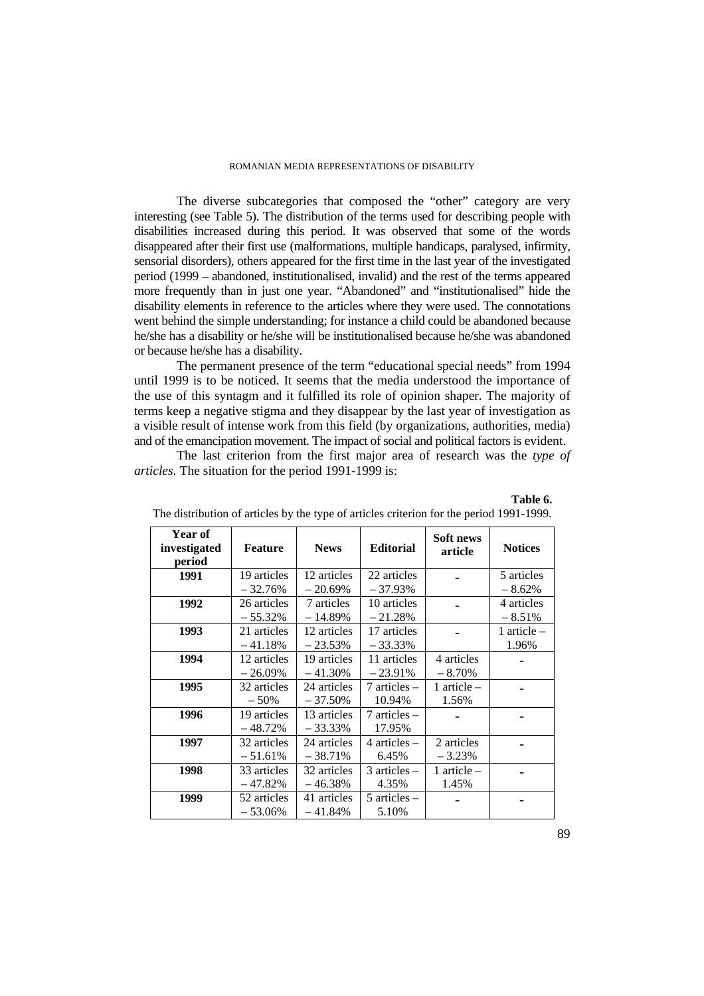The diverse subcategories that composed the "other" category are very interesting (see Table 5). The distribution of the terms used for describing people with disabilities increased during this period. It was observed that some of the words disappeared after their first use (malformations, multiple handicaps, paralysed, infirmity, sensorial disorders), others appeared for the first time in the last year of the investigated period (1999 – abandoned, institutionalised, invalid) and the rest of the terms appeared more frequently than in just one year. "Abandoned" and "institutionalised" hide the disability elements in reference to the articles where they were used. The connotations went behind the simple understanding; for instance a child could be abandoned because he/she has a disability or he/she will be institutionalised because he/she was abandoned or because he/she has a disability.

The permanent presence of the term "educational special needs" from 1994 until 1999 is to be noticed. It seems that the media understood the importance of the use of this syntagm and it fulfilled its role of opinion shaper. The majority of terms keep a negative stigma and they disappear by the last year of investigation as a visible result of intense work from this field (by organizations, authorities, media) and of the emancipation movement. The impact of social and political factors is evident.

The last criterion from the first major area of research was the *type of articles*. The situation for the period 1991-1999 is:

| <b>Year of</b><br>investigated<br>period | <b>Feature</b>           | <b>News</b>               | <b>Editorial</b>           | Soft news<br>article   | <b>Notices</b>         |
|------------------------------------------|--------------------------|---------------------------|----------------------------|------------------------|------------------------|
| 1991                                     | 19 articles<br>$-32.76%$ | 12 articles<br>$-20.69%$  | 22 articles<br>$-37.93\%$  |                        | 5 articles<br>$-8.62%$ |
| 1992                                     | 26 articles<br>$-55.32%$ | 7 articles<br>$-14.89%$   | 10 articles<br>$-21.28%$   |                        | 4 articles<br>$-8.51%$ |
| 1993                                     | 21 articles<br>$-41.18%$ | 12 articles<br>$-23.53%$  | 17 articles<br>- 33.33%    |                        | 1 article $-$<br>1.96% |
| 1994                                     | 12 articles<br>$-26.09%$ | 19 articles<br>$-41.30\%$ | 11 articles<br>$-23.91%$   | 4 articles<br>$-8.70%$ |                        |
| 1995                                     | 32 articles<br>$-50%$    | 24 articles<br>$-37.50%$  | 7 articles –<br>10.94%     | 1 article $-$<br>1.56% |                        |
| 1996                                     | 19 articles<br>$-48.72%$ | 13 articles<br>$-33.33\%$ | $7$ articles $-$<br>17.95% |                        |                        |
| 1997                                     | 32 articles<br>$-51.61%$ | 24 articles<br>$-38.71%$  | $4$ articles $-$<br>6.45%  | 2 articles<br>$-3.23%$ |                        |
| 1998                                     | 33 articles<br>$-47.82%$ | 32 articles<br>$-46.38%$  | $3$ articles $-$<br>4.35%  | 1 article $-$<br>1.45% |                        |
| 1999                                     | 52 articles<br>$-53.06%$ | 41 articles<br>$-41.84%$  | $5$ articles $-$<br>5.10%  |                        |                        |

|  | The distribution of articles by the type of articles criterion for the period 1991-1999. |  |
|--|------------------------------------------------------------------------------------------|--|
|  |                                                                                          |  |

**Table 6.**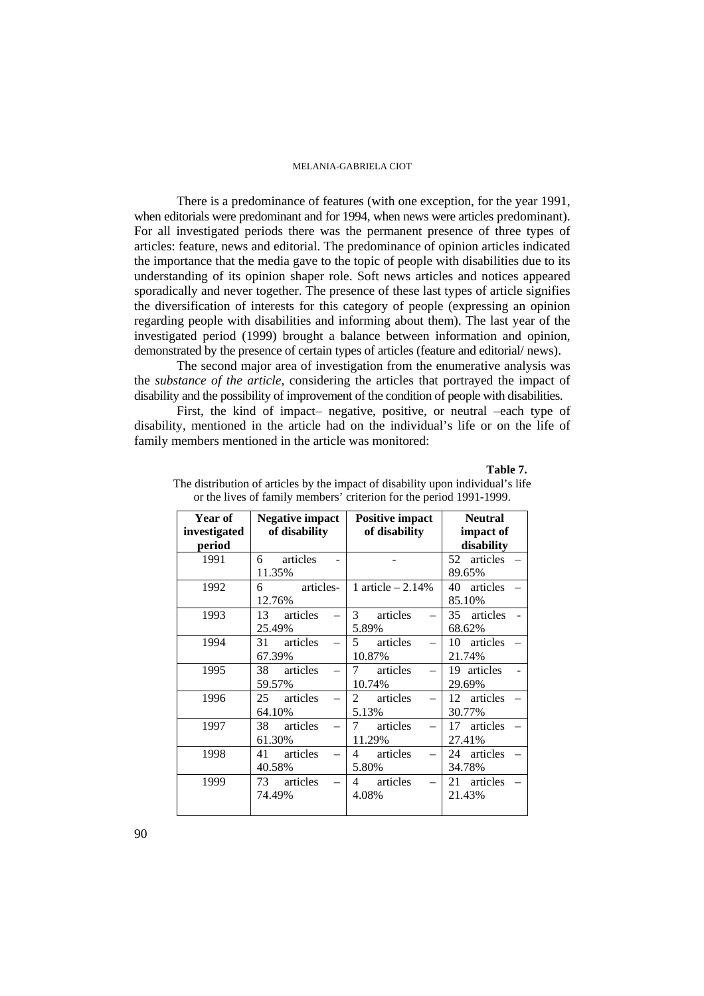There is a predominance of features (with one exception, for the year 1991, when editorials were predominant and for 1994, when news were articles predominant). For all investigated periods there was the permanent presence of three types of articles: feature, news and editorial. The predominance of opinion articles indicated the importance that the media gave to the topic of people with disabilities due to its understanding of its opinion shaper role. Soft news articles and notices appeared sporadically and never together. The presence of these last types of article signifies the diversification of interests for this category of people (expressing an opinion regarding people with disabilities and informing about them). The last year of the investigated period (1999) brought a balance between information and opinion, demonstrated by the presence of certain types of articles (feature and editorial/ news).

The second major area of investigation from the enumerative analysis was the *substance of the article*, considering the articles that portrayed the impact of disability and the possibility of improvement of the condition of people with disabilities.

First, the kind of impact– negative, positive, or neutral –each type of disability, mentioned in the article had on the individual's life or on the life of family members mentioned in the article was monitored:

#### **Table 7.**

| <b>Year of</b> | <b>Negative impact</b> | <b>Positive impact</b>     | <b>Neutral</b> |  |  |  |  |
|----------------|------------------------|----------------------------|----------------|--|--|--|--|
| investigated   | of disability          | of disability              | impact of      |  |  |  |  |
| period         |                        |                            | disability     |  |  |  |  |
| 1991           | 6 articles             |                            | 52 articles    |  |  |  |  |
|                | 11.35%                 |                            | 89.65%         |  |  |  |  |
| 1992           | articles-<br>6         | 1 article $-2.14%$         | 40 articles    |  |  |  |  |
|                | 12.76%                 |                            | 85.10%         |  |  |  |  |
| 1993           | 13 articles            | 3 <sup>7</sup><br>articles | 35 articles    |  |  |  |  |
|                | 25.49%                 | 5.89%                      | 68.62%         |  |  |  |  |
| 1994           | 31 articles            | $\overline{5}$<br>articles | 10 articles    |  |  |  |  |
|                | 67.39%                 | 10.87%                     | 21.74%         |  |  |  |  |
| 1995           | 38 articles            | articles<br>7              | 19 articles    |  |  |  |  |
|                | 59.57%                 | 10.74%                     | 29.69%         |  |  |  |  |
| 1996           | 25 articles            | articles<br>2              | 12 articles    |  |  |  |  |
|                | 64.10%                 | 5.13%                      | 30.77%         |  |  |  |  |
| 1997           | articles<br>38         | 7<br>articles              | 17 articles    |  |  |  |  |
|                | 61.30%                 | 11.29%                     | 27.41%         |  |  |  |  |
| 1998           | 41 articles            | articles<br>4              | 24 articles    |  |  |  |  |
|                | 40.58%                 | 5.80%                      | 34.78%         |  |  |  |  |
| 1999           | 73 articles            | articles<br>4              | 21 articles    |  |  |  |  |
|                | 74.49%                 | 4.08%                      | 21.43%         |  |  |  |  |
|                |                        |                            |                |  |  |  |  |

The distribution of articles by the impact of disability upon individual's life or the lives of family members' criterion for the period 1991-1999.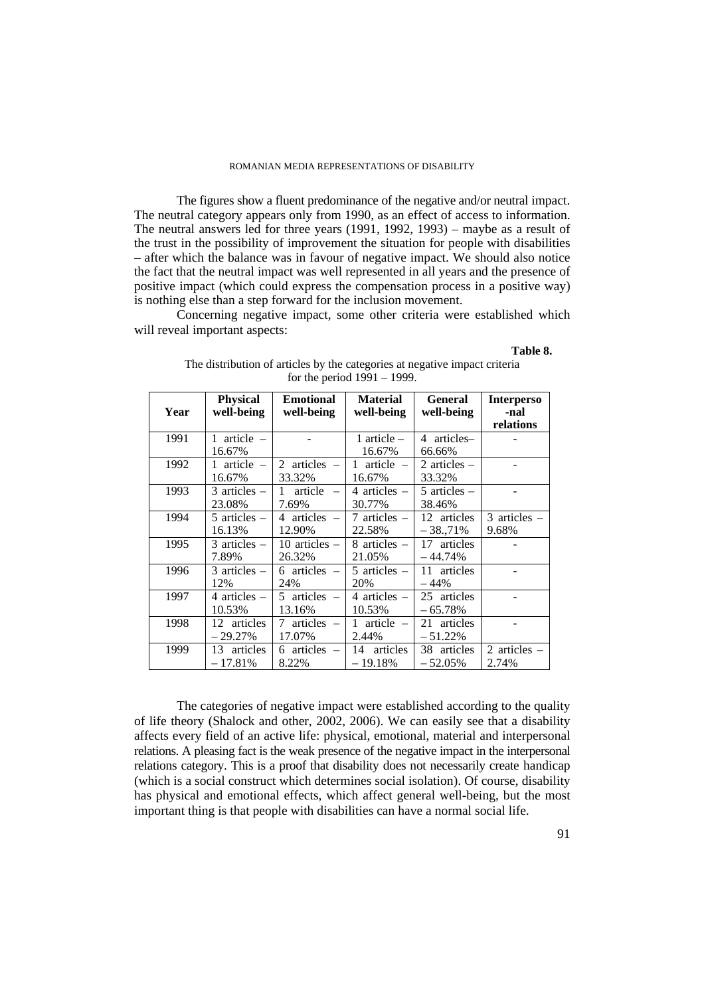The figures show a fluent predominance of the negative and/or neutral impact. The neutral category appears only from 1990, as an effect of access to information. The neutral answers led for three years (1991, 1992, 1993) – maybe as a result of the trust in the possibility of improvement the situation for people with disabilities  $-$  after which the balance was in favour of negative impact. We should also notice the fact that the neutral impact was well represented in all years and the presence of positive impact (which could express the compensation process in a positive way) is nothing else than a step forward for the inclusion movement.

Concerning negative impact, some other criteria were established which will reveal important aspects:

# **Table 8.**

| Year | <b>Physical</b><br>well-being | <b>Emotional</b><br>well-being | <b>Material</b><br>well-being         | <b>General</b><br>well-being | <b>Interperso</b><br>-nal<br>relations |
|------|-------------------------------|--------------------------------|---------------------------------------|------------------------------|----------------------------------------|
| 1991 | 1 article $-$<br>16.67%       |                                | 1 article $-$<br>16.67%               | 4 articles-<br>66.66%        |                                        |
| 1992 | 1 article $-$<br>16.67%       | 2 articles $-$<br>33.32%       | $article -$<br>$\mathbf{1}$<br>16.67% | 2 articles $-$<br>33.32%     |                                        |
| 1993 | $3$ articles $-$<br>23.08%    | article<br>1<br>7.69%          | 4 articles $-$<br>30.77%              | $5$ articles $-$<br>38.46%   |                                        |
| 1994 | $5$ articles $-$<br>16.13%    | 4 articles $-$<br>12.90%       | 7 articles $-$<br>22.58%              | 12 articles<br>$-38,71%$     | $3$ articles $-$<br>9.68%              |
| 1995 | $3$ articles $-$<br>7.89%     | 10 articles $-$<br>26.32%      | 8 articles $-$<br>21.05%              | 17 articles<br>$-44.74%$     |                                        |
| 1996 | $3$ articles $-$<br>12%       | 6 articles $-$<br>24%          | 5 articles $-$<br>20%                 | 11 articles<br>$-44%$        |                                        |
| 1997 | 4 articles $-$<br>10.53%      | 5 articles $-$<br>13.16%       | 4 articles $-$<br>10.53%              | 25 articles<br>$-65.78%$     |                                        |
| 1998 | 12 articles<br>$-29.27%$      | articles –<br>7<br>17.07%      | $article -$<br>$\mathbf{1}$<br>2.44%  | 21 articles<br>$-51.22%$     |                                        |
| 1999 | articles<br>13<br>$-17.81%$   | 6 articles $-$<br>8.22%        | articles<br>14<br>$-19.18%$           | 38 articles<br>$-52.05%$     | 2 articles $-$<br>2.74%                |

The distribution of articles by the categories at negative impact criteria for the period 1991 – 1999.

The categories of negative impact were established according to the quality of life theory (Shalock and other, 2002, 2006). We can easily see that a disability affects every field of an active life: physical, emotional, material and interpersonal relations. A pleasing fact is the weak presence of the negative impact in the interpersonal relations category. This is a proof that disability does not necessarily create handicap (which is a social construct which determines social isolation). Of course, disability has physical and emotional effects, which affect general well-being, but the most important thing is that people with disabilities can have a normal social life.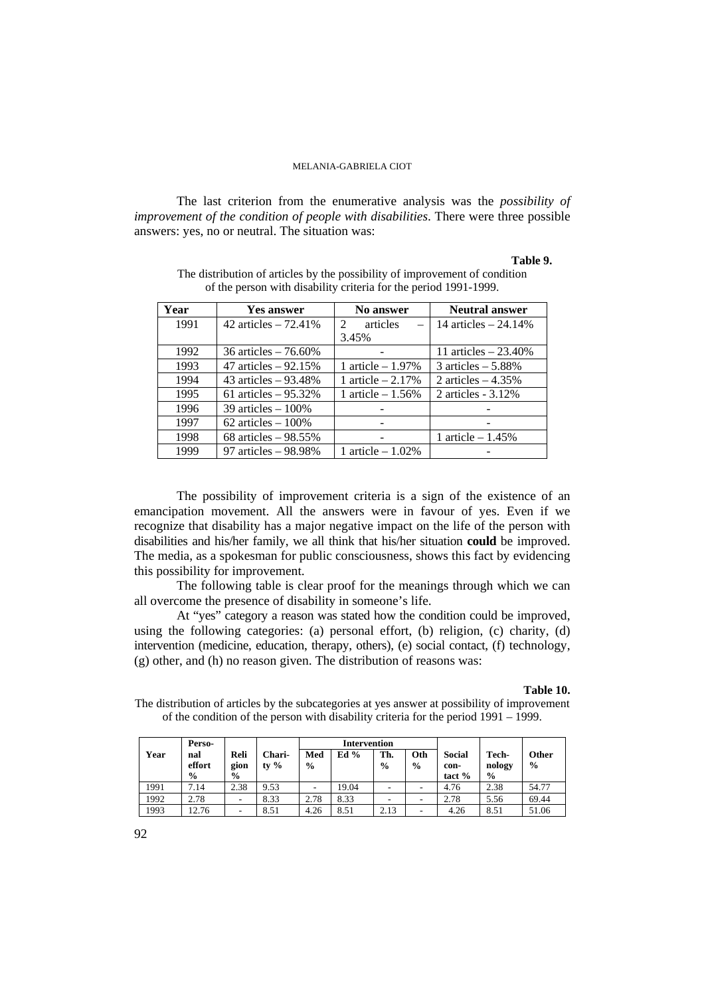The last criterion from the enumerative analysis was the *possibility of improvement of the condition of people with disabilities*. There were three possible answers: yes, no or neutral. The situation was:

### **Table 9.**

| Year | <b>Yes answer</b>      | <b>No answer</b>        | <b>Neutral answer</b> |
|------|------------------------|-------------------------|-----------------------|
| 1991 | 42 articles $-72.41%$  | articles<br>$2^{\circ}$ | 14 articles $-24.14%$ |
|      |                        | 3.45%                   |                       |
| 1992 | 36 articles $-76.60\%$ |                         | 11 articles $-23.40%$ |
| 1993 | 47 articles $-92.15%$  | 1 article $-1.97\%$     | 3 articles $-5.88\%$  |
| 1994 | 43 articles $-93.48%$  | 1 article $-2.17\%$     | 2 articles $-4.35%$   |
| 1995 | 61 articles $-95.32%$  | 1 article $-1.56\%$     | 2 articles $-3.12\%$  |
| 1996 | $39$ articles $-100\%$ |                         |                       |
| 1997 | $62$ articles $-100\%$ |                         |                       |
| 1998 | 68 articles $-98.55%$  |                         | 1 article $-1.45%$    |
| 1999 | 97 articles - 98.98%   | 1 article $-1.02\%$     |                       |

The distribution of articles by the possibility of improvement of condition of the person with disability criteria for the period 1991-1999.

The possibility of improvement criteria is a sign of the existence of an emancipation movement. All the answers were in favour of yes. Even if we recognize that disability has a major negative impact on the life of the person with disabilities and his/her family, we all think that his/her situation **could** be improved. The media, as a spokesman for public consciousness, shows this fact by evidencing this possibility for improvement.

The following table is clear proof for the meanings through which we can all overcome the presence of disability in someone's life.

At "yes" category a reason was stated how the condition could be improved, using the following categories: (a) personal effort, (b) religion, (c) charity, (d) intervention (medicine, education, therapy, others), (e) social contact, (f) technology, (g) other, and (h) no reason given. The distribution of reasons was:

#### **Table 10.**

The distribution of articles by the subcategories at yes answer at possibility of improvement of the condition of the person with disability criteria for the period 1991 – 1999.

|      | Perso-                         |                               |                   | Intervention         |        |                      |                      |                                   |                                  |                        |
|------|--------------------------------|-------------------------------|-------------------|----------------------|--------|----------------------|----------------------|-----------------------------------|----------------------------------|------------------------|
| Year | nal<br>effort<br>$\frac{0}{0}$ | Reli<br>gion<br>$\frac{6}{9}$ | Chari-<br>tv $\%$ | Med<br>$\frac{0}{0}$ | Ed $%$ | Th.<br>$\frac{0}{0}$ | Oth<br>$\frac{0}{0}$ | <b>Social</b><br>con-<br>tact $%$ | Tech-<br>nology<br>$\frac{0}{0}$ | Other<br>$\frac{6}{9}$ |
| 1991 | 7.14                           | 2.38                          | 9.53              | ۰                    | 19.04  | -                    | ۰                    | 4.76                              | 2.38                             | 54.77                  |
| 1992 | 2.78                           | $\overline{\phantom{a}}$      | 8.33              | 2.78                 | 8.33   | -                    | -                    | 2.78                              | 5.56                             | 69.44                  |
| 1993 | 12.76                          | -                             | 8.51              | 4.26                 | 8.51   | 2.13                 |                      | 4.26                              | 8.51                             | 51.06                  |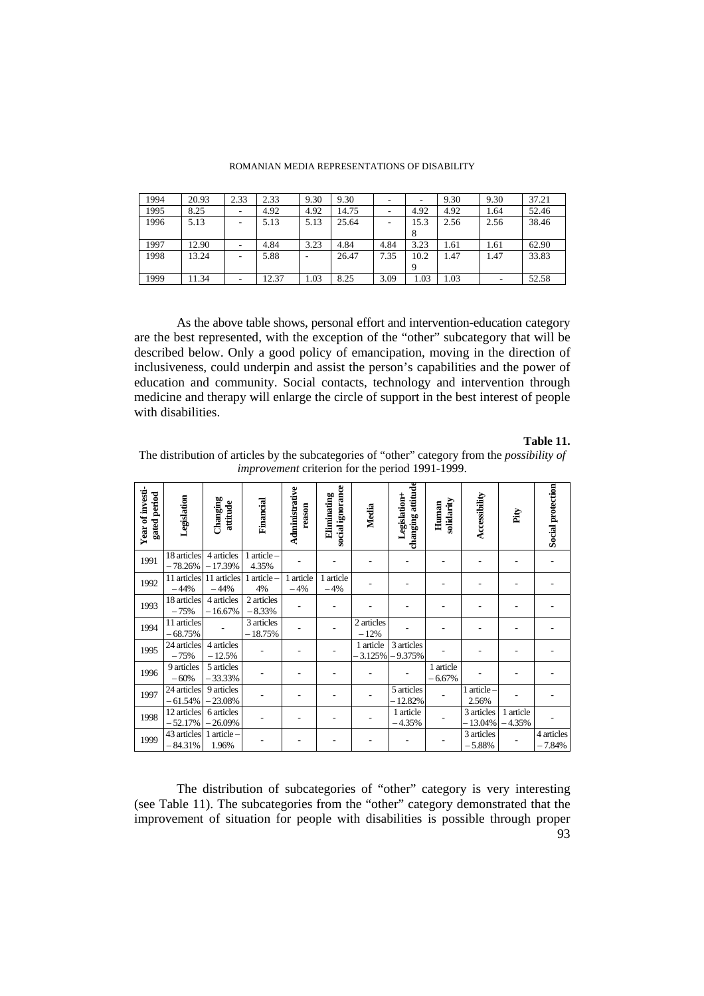|  |  | ROMANIAN MEDIA REPRESENTATIONS OF DISABILITY |  |
|--|--|----------------------------------------------|--|
|--|--|----------------------------------------------|--|

| 1994 | 20.93 | 2.33 | 2.33  | 9.30 | 9.30  |      |      | 9.30 | 9.30 | 37.21 |
|------|-------|------|-------|------|-------|------|------|------|------|-------|
| 1995 | 8.25  |      | 4.92  | 4.92 | 14.75 |      | 4.92 | 4.92 | 1.64 | 52.46 |
| 1996 | 5.13  | ٠    | 5.13  | 5.13 | 25.64 |      | 15.3 | 2.56 | 2.56 | 38.46 |
|      |       |      |       |      |       |      | 8    |      |      |       |
| 1997 | 12.90 |      | 4.84  | 3.23 | 4.84  | 4.84 | 3.23 | 1.61 | 1.61 | 62.90 |
| 1998 | 13.24 |      | 5.88  |      | 26.47 | 7.35 | 10.2 | 1.47 | 1.47 | 33.83 |
|      |       |      |       |      |       |      |      |      |      |       |
| 1999 | 1.34  | ۰    | 12.37 | 1.03 | 8.25  | 3.09 | 1.03 | 1.03 |      | 52.58 |

As the above table shows, personal effort and intervention-education category are the best represented, with the exception of the "other" subcategory that will be described below. Only a good policy of emancipation, moving in the direction of inclusiveness, could underpin and assist the person's capabilities and the power of education and community. Social contacts, technology and intervention through medicine and therapy will enlarge the circle of support in the best interest of people with disabilities.

### **Table 11.**

| Year of investi-<br>gated period | Legislation              | Changing<br>attitude    | Financial               | Administrative<br>reason | social ignorance<br>Eliminating | Media                | changing attitude<br>Legislation+ | solidarity<br>Human      | Accessibility           | Pity                  | Social protection      |
|----------------------------------|--------------------------|-------------------------|-------------------------|--------------------------|---------------------------------|----------------------|-----------------------------------|--------------------------|-------------------------|-----------------------|------------------------|
| 1991                             | 18 articles<br>$-78.26%$ | 4 articles<br>$-17.39%$ | article-<br>4.35%       |                          |                                 |                      |                                   |                          |                         |                       |                        |
| 1992                             | 11 articles<br>$-44%$    | 11 articles<br>$-44%$   | article-<br>4%          | 1 article<br>$-4%$       | 1 article<br>$-4%$              |                      |                                   |                          |                         |                       |                        |
| 1993                             | 18 articles<br>$-75%$    | 4 articles<br>$-16.67%$ | 2 articles<br>$-8.33%$  | ۰                        | ٠                               |                      |                                   |                          |                         |                       |                        |
| 1994                             | 11 articles<br>$-68.75%$ |                         | 3 articles<br>$-18.75%$ |                          |                                 | 2 articles<br>$-12%$ |                                   |                          |                         |                       |                        |
| 1995                             | 24 articles<br>$-75%$    | 4 articles<br>$-12.5%$  |                         |                          |                                 | 1 article<br>3.125%  | 3 articles<br>$-9.375%$           |                          |                         |                       |                        |
| 1996                             | 9 articles<br>$-60%$     | 5 articles<br>33.33%    |                         |                          |                                 |                      |                                   | 1 article<br>6.67%       |                         |                       |                        |
| 1997                             | 24 articles<br>$-61.54%$ | 9 articles<br>23.08%    |                         |                          |                                 |                      | 5 articles<br>$-12.82%$           |                          | 1 article<br>2.56%      |                       |                        |
| 1998                             | 12 articles<br>$-52.17%$ | 6 articles<br>26.09%    |                         |                          |                                 |                      | 1 article<br>$-4.35%$             |                          | 3 articles<br>$-13.04%$ | 1 article<br>$-4.35%$ |                        |
| 1999                             | 43 articles<br>$-84.31%$ | article-<br>1.96%       |                         |                          |                                 |                      |                                   | $\overline{\phantom{a}}$ | 3 articles<br>$-5.88%$  |                       | 4 articles<br>$-7.84%$ |

The distribution of articles by the subcategories of "other" category from the *possibility of improvement* criterion for the period 1991-1999.

93 The distribution of subcategories of "other" category is very interesting (see Table 11). The subcategories from the "other" category demonstrated that the improvement of situation for people with disabilities is possible through proper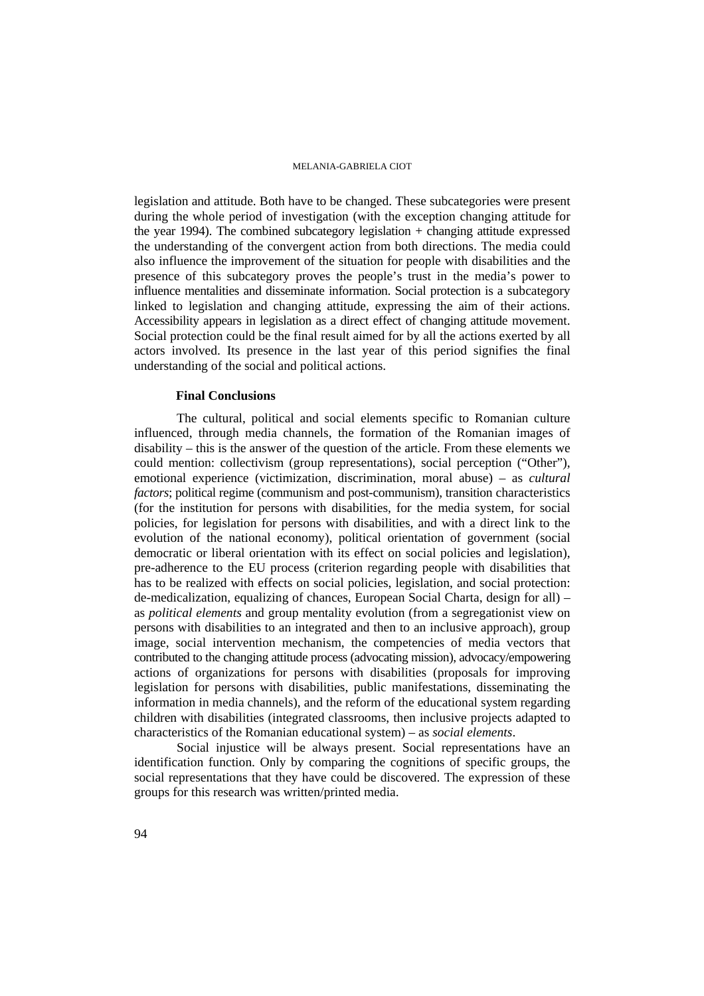legislation and attitude. Both have to be changed. These subcategories were present during the whole period of investigation (with the exception changing attitude for the year 1994). The combined subcategory legislation + changing attitude expressed the understanding of the convergent action from both directions. The media could also influence the improvement of the situation for people with disabilities and the presence of this subcategory proves the people's trust in the media's power to influence mentalities and disseminate information. Social protection is a subcategory linked to legislation and changing attitude, expressing the aim of their actions. Accessibility appears in legislation as a direct effect of changing attitude movement. Social protection could be the final result aimed for by all the actions exerted by all actors involved. Its presence in the last year of this period signifies the final understanding of the social and political actions.

# **Final Conclusions**

The cultural, political and social elements specific to Romanian culture influenced, through media channels, the formation of the Romanian images of disability – this is the answer of the question of the article. From these elements we could mention: collectivism (group representations), social perception ("Other"), emotional experience (victimization, discrimination, moral abuse) – as *cultural factors*; political regime (communism and post-communism), transition characteristics (for the institution for persons with disabilities, for the media system, for social policies, for legislation for persons with disabilities, and with a direct link to the evolution of the national economy), political orientation of government (social democratic or liberal orientation with its effect on social policies and legislation), pre-adherence to the EU process (criterion regarding people with disabilities that has to be realized with effects on social policies, legislation, and social protection: de-medicalization, equalizing of chances, European Social Charta, design for all) – as *political elements* and group mentality evolution (from a segregationist view on persons with disabilities to an integrated and then to an inclusive approach), group image, social intervention mechanism, the competencies of media vectors that contributed to the changing attitude process (advocating mission), advocacy/empowering actions of organizations for persons with disabilities (proposals for improving legislation for persons with disabilities, public manifestations, disseminating the information in media channels), and the reform of the educational system regarding children with disabilities (integrated classrooms, then inclusive projects adapted to characteristics of the Romanian educational system) – as *social elements*.

Social injustice will be always present. Social representations have an identification function. Only by comparing the cognitions of specific groups, the social representations that they have could be discovered. The expression of these groups for this research was written/printed media.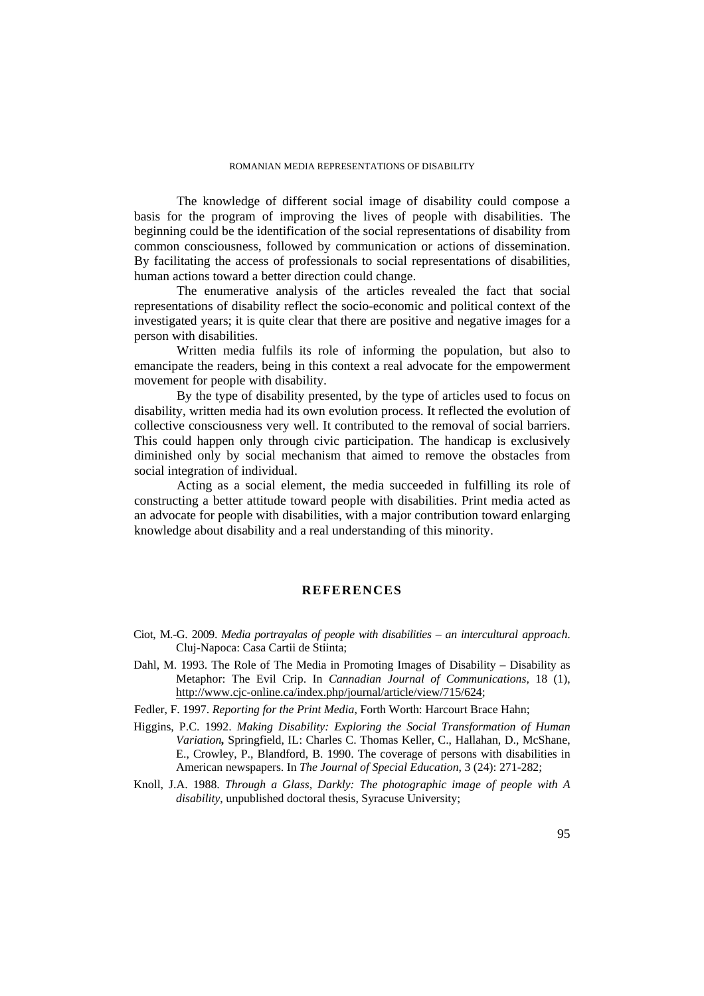The knowledge of different social image of disability could compose a basis for the program of improving the lives of people with disabilities. The beginning could be the identification of the social representations of disability from common consciousness, followed by communication or actions of dissemination. By facilitating the access of professionals to social representations of disabilities, human actions toward a better direction could change.

The enumerative analysis of the articles revealed the fact that social representations of disability reflect the socio-economic and political context of the investigated years; it is quite clear that there are positive and negative images for a person with disabilities.

Written media fulfils its role of informing the population, but also to emancipate the readers, being in this context a real advocate for the empowerment movement for people with disability.

By the type of disability presented, by the type of articles used to focus on disability, written media had its own evolution process. It reflected the evolution of collective consciousness very well. It contributed to the removal of social barriers. This could happen only through civic participation. The handicap is exclusively diminished only by social mechanism that aimed to remove the obstacles from social integration of individual.

Acting as a social element, the media succeeded in fulfilling its role of constructing a better attitude toward people with disabilities. Print media acted as an advocate for people with disabilities, with a major contribution toward enlarging knowledge about disability and a real understanding of this minority.

# **REFERENCES**

- Ciot, M.-G. 2009. *Media portrayalas of people with disabilities an intercultural approach*. Cluj-Napoca: Casa Cartii de Stiinta;
- Dahl, M. 1993. The Role of The Media in Promoting Images of Disability Disability as Metaphor: The Evil Crip. In *Cannadian Journal of Communications,* 18 (1), http://www.cjc-online.ca/index.php/journal/article/view/715/624;
- Fedler, F. 1997. *Reporting for the Print Media*, Forth Worth: Harcourt Brace Hahn;
- Higgins, P.C. 1992. *Making Disability: Exploring the Social Transformation of Human Variation,* Springfield, IL: Charles C. Thomas Keller, C., Hallahan, D., McShane, E., Crowley, P., Blandford, B. 1990. The coverage of persons with disabilities in American newspapers. In *The Journal of Special Education*, 3 (24): 271-282;
- Knoll, J.A. 1988. *Through a Glass, Darkly: The photographic image of people with A disability*, unpublished doctoral thesis, Syracuse University;